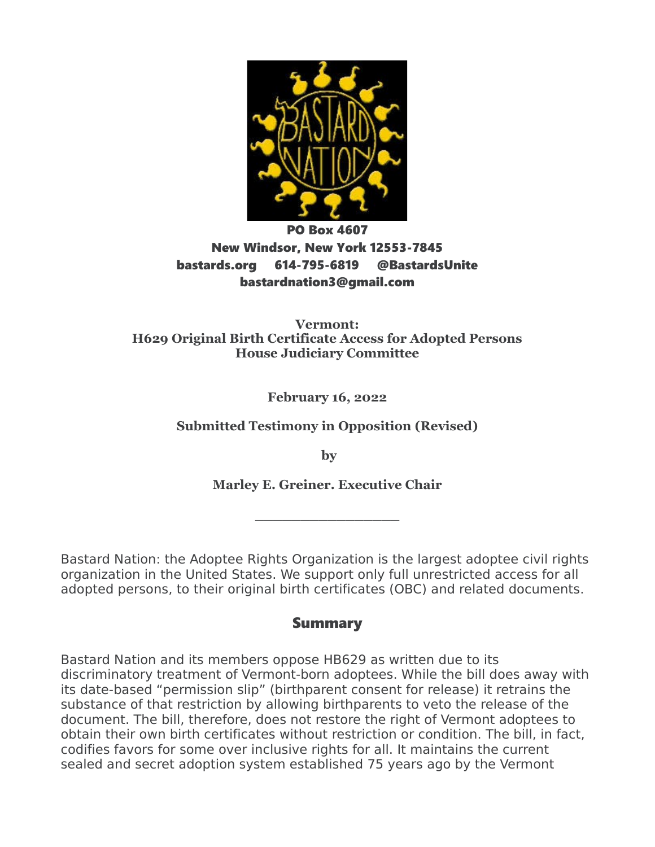

# PO Box 4607 New Windsor, New York 12553-7845 bastards.org 614-795-6819 @BastardsUnite bastardnation3@gmail.com

**Vermont: H629 Original Birth Certificate Access for Adopted Persons House Judiciary Committee**

**February 16, 2022**

**Submitted Testimony in Opposition (Revised)**

 **by**

**Marley E. Greiner. Executive Chair**

**\_\_\_\_\_\_\_\_\_\_\_\_\_\_\_\_**

Bastard Nation: the Adoptee Rights Organization is the largest adoptee civil rights organization in the United States. We support only full unrestricted access for all adopted persons, to their original birth certificates (OBC) and related documents.

## Summary

Bastard Nation and its members oppose HB629 as written due to its discriminatory treatment of Vermont-born adoptees. While the bill does away with its date-based "permission slip" (birthparent consent for release) it retrains the substance of that restriction by allowing birthparents to veto the release of the document. The bill, therefore, does not restore the right of Vermont adoptees to obtain their own birth certificates without restriction or condition. The bill, in fact, codifies favors for some over inclusive rights for all. It maintains the current sealed and secret adoption system established 75 years ago by the Vermont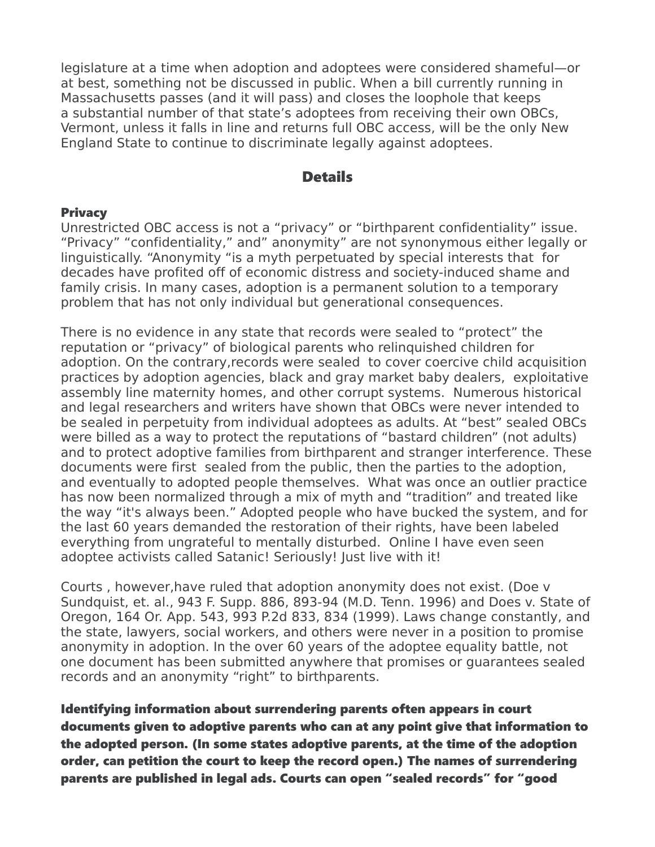legislature at a time when adoption and adoptees were considered shameful—or at best, something not be discussed in public. When a bill currently running in Massachusetts passes (and it will pass) and closes the loophole that keeps a substantial number of that state's adoptees from receiving their own OBCs, Vermont, unless it falls in line and returns full OBC access, will be the only New England State to continue to discriminate legally against adoptees.

## **Details**

#### **Privacy**

Unrestricted OBC access is not a "privacy" or "birthparent confidentiality" issue. "Privacy" "confidentiality," and" anonymity" are not synonymous either legally or linguistically. "Anonymity "is a myth perpetuated by special interests that for decades have profited off of economic distress and society-induced shame and family crisis. In many cases, adoption is a permanent solution to a temporary problem that has not only individual but generational consequences.

There is no evidence in any state that records were sealed to "protect" the reputation or "privacy" of biological parents who relinquished children for adoption. On the contrary,records were sealed to cover coercive child acquisition practices by adoption agencies, black and gray market baby dealers, exploitative assembly line maternity homes, and other corrupt systems. Numerous historical and legal researchers and writers have shown that OBCs were never intended to be sealed in perpetuity from individual adoptees as adults. At "best" sealed OBCs were billed as a way to protect the reputations of "bastard children" (not adults) and to protect adoptive families from birthparent and stranger interference. These documents were first sealed from the public, then the parties to the adoption, and eventually to adopted people themselves. What was once an outlier practice has now been normalized through a mix of myth and "tradition" and treated like the way "it's always been." Adopted people who have bucked the system, and for the last 60 years demanded the restoration of their rights, have been labeled everything from ungrateful to mentally disturbed. Online I have even seen adoptee activists called Satanic! Seriously! Just live with it!

Courts , however,have ruled that adoption anonymity does not exist. (Doe v Sundquist, et. al., 943 F. Supp. 886, 893-94 (M.D. Tenn. 1996) and Does v. State of Oregon, 164 Or. App. 543, 993 P.2d 833, 834 (1999). Laws change constantly, and the state, lawyers, social workers, and others were never in a position to promise anonymity in adoption. In the over 60 years of the adoptee equality battle, not one document has been submitted anywhere that promises or guarantees sealed records and an anonymity "right" to birthparents.

Identifying information about surrendering parents often appears in court documents given to adoptive parents who can at any point give that information to the adopted person. (In some states adoptive parents, at the time of the adoption order, can petition the court to keep the record open.) The names of surrendering parents are published in legal ads. Courts can open "sealed records" for "good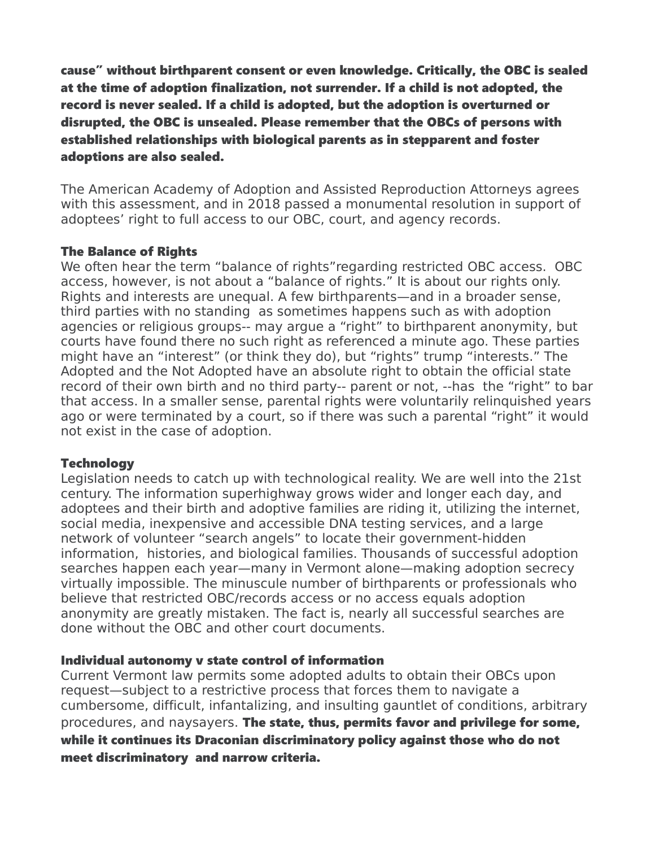cause" without birthparent consent or even knowledge. Critically, the OBC is sealed at the time of adoption finalization, not surrender. If a child is not adopted, the record is never sealed. If a child is adopted, but the adoption is overturned or disrupted, the OBC is unsealed. Please remember that the OBCs of persons with established relationships with biological parents as in stepparent and foster adoptions are also sealed.

The American Academy of Adoption and Assisted Reproduction Attorneys agrees with this assessment, and in 2018 passed a monumental resolution in support of adoptees' right to full access to our OBC, court, and agency records.

#### The Balance of Rights

We often hear the term "balance of rights"regarding restricted OBC access. OBC access, however, is not about a "balance of rights." It is about our rights only. Rights and interests are unequal. A few birthparents—and in a broader sense, third parties with no standing as sometimes happens such as with adoption agencies or religious groups-- may argue a "right" to birthparent anonymity, but courts have found there no such right as referenced a minute ago. These parties might have an "interest" (or think they do), but "rights" trump "interests." The Adopted and the Not Adopted have an absolute right to obtain the official state record of their own birth and no third party-- parent or not, --has the "right" to bar that access. In a smaller sense, parental rights were voluntarily relinquished years ago or were terminated by a court, so if there was such a parental "right" it would not exist in the case of adoption.

#### **Technology**

Legislation needs to catch up with technological reality. We are well into the 21st century. The information superhighway grows wider and longer each day, and adoptees and their birth and adoptive families are riding it, utilizing the internet, social media, inexpensive and accessible DNA testing services, and a large network of volunteer "search angels" to locate their government-hidden information, histories, and biological families. Thousands of successful adoption searches happen each year—many in Vermont alone—making adoption secrecy virtually impossible. The minuscule number of birthparents or professionals who believe that restricted OBC/records access or no access equals adoption anonymity are greatly mistaken. The fact is, nearly all successful searches are done without the OBC and other court documents.

### Individual autonomy v state control of information

Current Vermont law permits some adopted adults to obtain their OBCs upon request—subject to a restrictive process that forces them to navigate a cumbersome, difficult, infantalizing, and insulting gauntlet of conditions, arbitrary procedures, and naysayers. The state, thus, permits favor and privilege for some, while it continues its Draconian discriminatory policy against those who do not meet discriminatory and narrow criteria.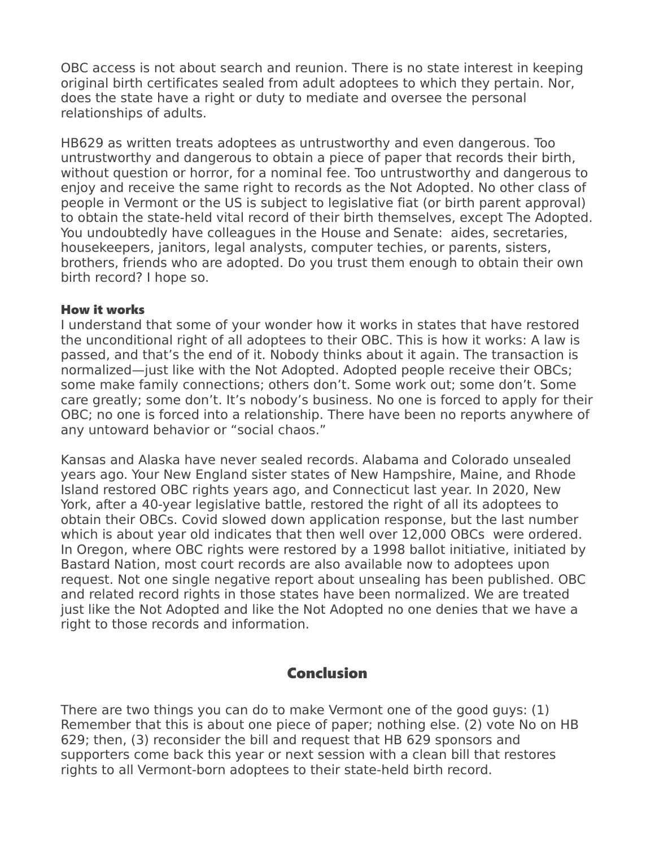OBC access is not about search and reunion. There is no state interest in keeping original birth certificates sealed from adult adoptees to which they pertain. Nor, does the state have a right or duty to mediate and oversee the personal relationships of adults.

HB629 as written treats adoptees as untrustworthy and even dangerous. Too untrustworthy and dangerous to obtain a piece of paper that records their birth, without question or horror, for a nominal fee. Too untrustworthy and dangerous to enjoy and receive the same right to records as the Not Adopted. No other class of people in Vermont or the US is subject to legislative fiat (or birth parent approval) to obtain the state-held vital record of their birth themselves, except The Adopted. You undoubtedly have colleagues in the House and Senate: aides, secretaries, housekeepers, janitors, legal analysts, computer techies, or parents, sisters, brothers, friends who are adopted. Do you trust them enough to obtain their own birth record? I hope so.

#### How it works

I understand that some of your wonder how it works in states that have restored the unconditional right of all adoptees to their OBC. This is how it works: A law is passed, and that's the end of it. Nobody thinks about it again. The transaction is normalized—just like with the Not Adopted. Adopted people receive their OBCs; some make family connections; others don't. Some work out; some don't. Some care greatly; some don't. It's nobody's business. No one is forced to apply for their OBC; no one is forced into a relationship. There have been no reports anywhere of any untoward behavior or "social chaos."

Kansas and Alaska have never sealed records. Alabama and Colorado unsealed years ago. Your New England sister states of New Hampshire, Maine, and Rhode Island restored OBC rights years ago, and Connecticut last year. In 2020, New York, after a 40-year legislative battle, restored the right of all its adoptees to obtain their OBCs. Covid slowed down application response, but the last number which is about year old indicates that then well over 12,000 OBCs were ordered. In Oregon, where OBC rights were restored by a 1998 ballot initiative, initiated by Bastard Nation, most court records are also available now to adoptees upon request. Not one single negative report about unsealing has been published. OBC and related record rights in those states have been normalized. We are treated just like the Not Adopted and like the Not Adopted no one denies that we have a right to those records and information.

## **Conclusion**

There are two things you can do to make Vermont one of the good guys: (1) Remember that this is about one piece of paper; nothing else. (2) vote No on HB 629; then, (3) reconsider the bill and request that HB 629 sponsors and supporters come back this year or next session with a clean bill that restores rights to all Vermont-born adoptees to their state-held birth record.